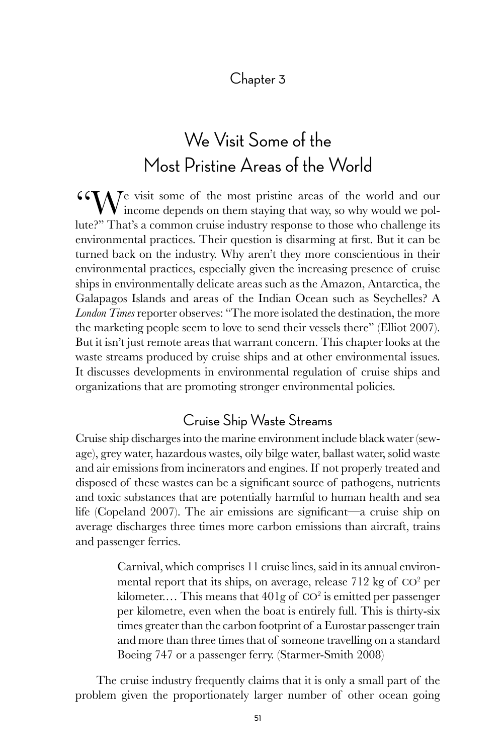### Chapter 3

# We Visit Some of the Most Pristine Areas of the World

"We visit some of the most pristine areas of the world and our income depends on them staying that way, so why would we pollute?" That's a common cruise industry response to those who challenge its environmental practices. Their question is disarming at first. But it can be turned back on the industry. Why aren't they more conscientious in their environmental practices, especially given the increasing presence of cruise ships in environmentally delicate areas such as the Amazon, Antarctica, the Galapagos Islands and areas of the Indian Ocean such as Seychelles? A *London Times* reporter observes: "The more isolated the destination, the more the marketing people seem to love to send their vessels there" (Elliot 2007). But it isn't just remote areas that warrant concern. This chapter looks at the waste streams produced by cruise ships and at other environmental issues. It discusses developments in environmental regulation of cruise ships and organizations that are promoting stronger environmental policies.

### Cruise Ship Waste Streams

Cruise ship discharges into the marine environment include black water (sewage), grey water, hazardous wastes, oily bilge water, ballast water, solid waste and air emissions from incinerators and engines. If not properly treated and disposed of these wastes can be a significant source of pathogens, nutrients and toxic substances that are potentially harmful to human health and sea life (Copeland 2007). The air emissions are significant—a cruise ship on average discharges three times more carbon emissions than aircraft, trains and passenger ferries.

> Carnival, which comprises 11 cruise lines, said in its annual environmental report that its ships, on average, release  $712$  kg of  $CO<sup>2</sup>$  per kilometer.... This means that  $401g$  of  $CO<sup>2</sup>$  is emitted per passenger per kilometre, even when the boat is entirely full. This is thirty-six times greater than the carbon footprint of a Eurostar passenger train and more than three times that of someone travelling on a standard Boeing 747 or a passenger ferry. (Starmer-Smith 2008)

The cruise industry frequently claims that it is only a small part of the problem given the proportionately larger number of other ocean going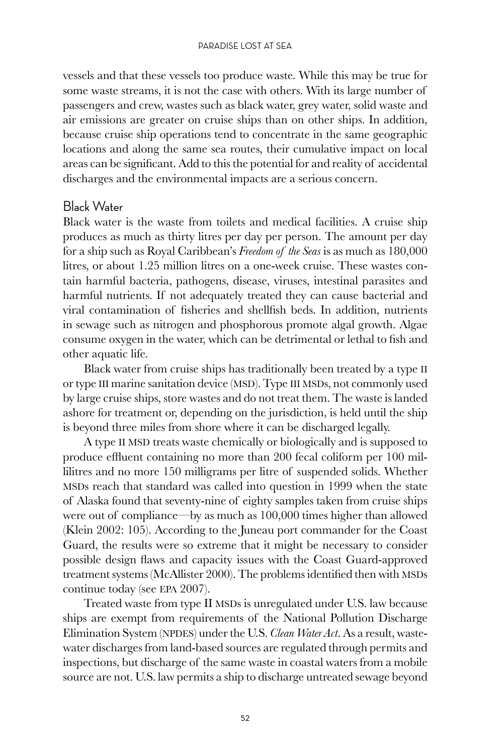vessels and that these vessels too produce waste. While this may be true for some waste streams, it is not the case with others. With its large number of passengers and crew, wastes such as black water, grey water, solid waste and air emissions are greater on cruise ships than on other ships. In addition, because cruise ship operations tend to concentrate in the same geographic locations and along the same sea routes, their cumulative impact on local areas can be significant. Add to this the potential for and reality of accidental discharges and the environmental impacts are a serious concern.

#### Black Water

Black water is the waste from toilets and medical facilities. A cruise ship produces as much as thirty litres per day per person. The amount per day for a ship such as Royal Caribbean's *Freedom of the Seas* is as much as 180,000 litres, or about 1.25 million litres on a one-week cruise. These wastes contain harmful bacteria, pathogens, disease, viruses, intestinal parasites and harmful nutrients. If not adequately treated they can cause bacterial and viral contamination of fisheries and shellfish beds. In addition, nutrients in sewage such as nitrogen and phosphorous promote algal growth. Algae consume oxygen in the water, which can be detrimental or lethal to fish and other aquatic life.

Black water from cruise ships has traditionally been treated by a type II or type III marine sanitation device (MSD). Type III MSDs, not commonly used by large cruise ships, store wastes and do not treat them. The waste is landed ashore for treatment or, depending on the jurisdiction, is held until the ship is beyond three miles from shore where it can be discharged legally.

A type II MSD treats waste chemically or biologically and is supposed to produce effluent containing no more than 200 fecal coliform per 100 millilitres and no more 150 milligrams per litre of suspended solids. Whether msds reach that standard was called into question in 1999 when the state of Alaska found that seventy-nine of eighty samples taken from cruise ships were out of compliance—by as much as 100,000 times higher than allowed (Klein 2002: 105). According to the Juneau port commander for the Coast Guard, the results were so extreme that it might be necessary to consider possible design flaws and capacity issues with the Coast Guard-approved treatment systems (McAllister 2000). The problems identified then with MSDs continue today (see epa 2007).

Treated waste from type II MSDs is unregulated under U.S. law because ships are exempt from requirements of the National Pollution Discharge Elimination System (NPDES) under the U.S. *Clean Water Act*. As a result, wastewater discharges from land-based sources are regulated through permits and inspections, but discharge of the same waste in coastal waters from a mobile source are not. U.S. law permits a ship to discharge untreated sewage beyond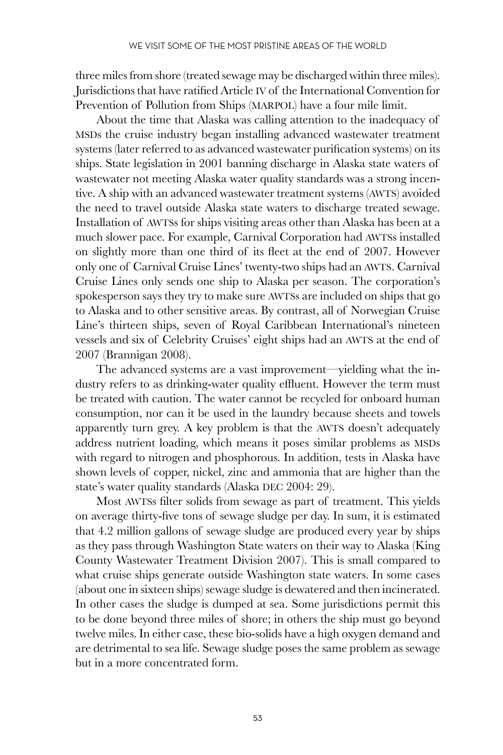three miles from shore (treated sewage may be discharged within three miles). Jurisdictions that have ratified Article iv of the International Convention for Prevention of Pollution from Ships (MARPOL) have a four mile limit.

About the time that Alaska was calling attention to the inadequacy of msds the cruise industry began installing advanced wastewater treatment systems (later referred to as advanced wastewater purification systems) on its ships. State legislation in 2001 banning discharge in Alaska state waters of wastewater not meeting Alaska water quality standards was a strong incentive. A ship with an advanced wastewater treatment systems (AWTS) avoided the need to travel outside Alaska state waters to discharge treated sewage. Installation of awtss for ships visiting areas other than Alaska has been at a much slower pace. For example, Carnival Corporation had awtss installed on slightly more than one third of its fleet at the end of 2007. However only one of Carnival Cruise Lines' twenty-two ships had an awts. Carnival Cruise Lines only sends one ship to Alaska per season. The corporation's spokesperson says they try to make sure AWTSs are included on ships that go to Alaska and to other sensitive areas. By contrast, all of Norwegian Cruise Line's thirteen ships, seven of Royal Caribbean International's nineteen vessels and six of Celebrity Cruises' eight ships had an awts at the end of 2007 (Brannigan 2008).

The advanced systems are a vast improvement—yielding what the industry refers to as drinking-water quality effluent. However the term must be treated with caution. The water cannot be recycled for onboard human consumption, nor can it be used in the laundry because sheets and towels apparently turn grey. A key problem is that the AWTS doesn't adequately address nutrient loading, which means it poses similar problems as MSDs with regard to nitrogen and phosphorous. In addition, tests in Alaska have shown levels of copper, nickel, zinc and ammonia that are higher than the state's water quality standards (Alaska DEC 2004: 29).

Most awtss filter solids from sewage as part of treatment. This yields on average thirty-five tons of sewage sludge per day. In sum, it is estimated that 4.2 million gallons of sewage sludge are produced every year by ships as they pass through Washington State waters on their way to Alaska (King County Wastewater Treatment Division 2007). This is small compared to what cruise ships generate outside Washington state waters. In some cases (about one in sixteen ships) sewage sludge is dewatered and then incinerated. In other cases the sludge is dumped at sea. Some jurisdictions permit this to be done beyond three miles of shore; in others the ship must go beyond twelve miles. In either case, these bio-solids have a high oxygen demand and are detrimental to sea life. Sewage sludge poses the same problem as sewage but in a more concentrated form.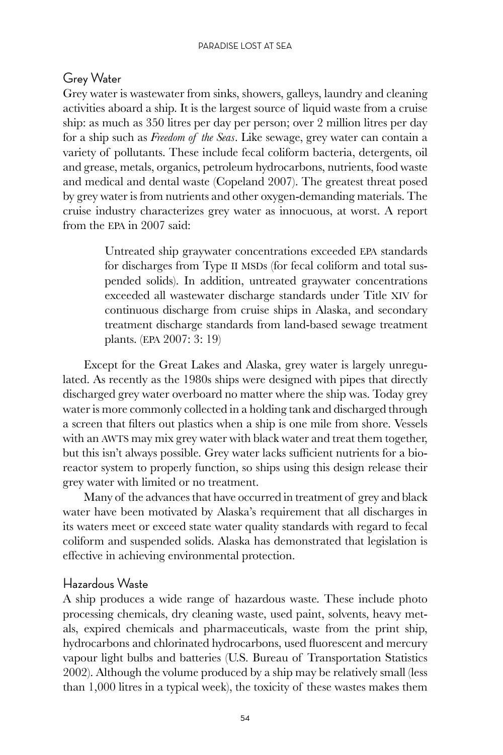#### Paradise Lost At Sea

## Grey Water

Grey water is wastewater from sinks, showers, galleys, laundry and cleaning activities aboard a ship. It is the largest source of liquid waste from a cruise ship: as much as 350 litres per day per person; over 2 million litres per day for a ship such as *Freedom of the Seas*. Like sewage, grey water can contain a variety of pollutants. These include fecal coliform bacteria, detergents, oil and grease, metals, organics, petroleum hydrocarbons, nutrients, food waste and medical and dental waste (Copeland 2007). The greatest threat posed by grey water is from nutrients and other oxygen-demanding materials. The cruise industry characterizes grey water as innocuous, at worst. A report from the epa in 2007 said:

> Untreated ship graywater concentrations exceeded epa standards for discharges from Type II MSDs (for fecal coliform and total suspended solids). In addition, untreated graywater concentrations exceeded all wastewater discharge standards under Title xiv for continuous discharge from cruise ships in Alaska, and secondary treatment discharge standards from land-based sewage treatment plants. (epa 2007: 3: 19)

Except for the Great Lakes and Alaska, grey water is largely unregulated. As recently as the 1980s ships were designed with pipes that directly discharged grey water overboard no matter where the ship was. Today grey water is more commonly collected in a holding tank and discharged through a screen that filters out plastics when a ship is one mile from shore. Vessels with an AWTS may mix grey water with black water and treat them together, but this isn't always possible. Grey water lacks sufficient nutrients for a bioreactor system to properly function, so ships using this design release their grey water with limited or no treatment.

Many of the advances that have occurred in treatment of grey and black water have been motivated by Alaska's requirement that all discharges in its waters meet or exceed state water quality standards with regard to fecal coliform and suspended solids. Alaska has demonstrated that legislation is effective in achieving environmental protection.

#### Hazardous Waste

A ship produces a wide range of hazardous waste. These include photo processing chemicals, dry cleaning waste, used paint, solvents, heavy metals, expired chemicals and pharmaceuticals, waste from the print ship, hydrocarbons and chlorinated hydrocarbons, used fluorescent and mercury vapour light bulbs and batteries (U.S. Bureau of Transportation Statistics 2002). Although the volume produced by a ship may be relatively small (less than 1,000 litres in a typical week), the toxicity of these wastes makes them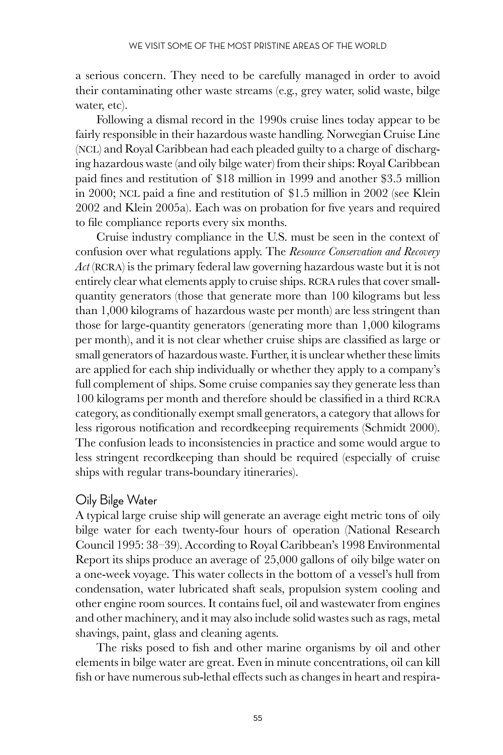a serious concern. They need to be carefully managed in order to avoid their contaminating other waste streams (e.g., grey water, solid waste, bilge water, etc).

Following a dismal record in the 1990s cruise lines today appear to be fairly responsible in their hazardous waste handling. Norwegian Cruise Line (ncl) and Royal Caribbean had each pleaded guilty to a charge of discharging hazardous waste (and oily bilge water) from their ships: Royal Caribbean paid fines and restitution of \$18 million in 1999 and another \$3.5 million in 2000; NCL paid a fine and restitution of \$1.5 million in 2002 (see Klein 2002 and Klein 2005a). Each was on probation for five years and required to file compliance reports every six months.

Cruise industry compliance in the U.S. must be seen in the context of confusion over what regulations apply. The *Resource Conservation and Recovery Act* (RCRA) is the primary federal law governing hazardous waste but it is not entirely clear what elements apply to cruise ships. RCRA rules that cover smallquantity generators (those that generate more than 100 kilograms but less than 1,000 kilograms of hazardous waste per month) are less stringent than those for large-quantity generators (generating more than 1,000 kilograms per month), and it is not clear whether cruise ships are classified as large or small generators of hazardous waste. Further, it is unclear whether these limits are applied for each ship individually or whether they apply to a company's full complement of ships. Some cruise companies say they generate less than 100 kilograms per month and therefore should be classified in a third RCRA category, as conditionally exempt small generators, a category that allows for less rigorous notification and recordkeeping requirements (Schmidt 2000). The confusion leads to inconsistencies in practice and some would argue to less stringent recordkeeping than should be required (especially of cruise ships with regular trans-boundary itineraries).

#### Oily Bilge Water

A typical large cruise ship will generate an average eight metric tons of oily bilge water for each twenty-four hours of operation (National Research Council 1995: 38–39). According to Royal Caribbean's 1998 Environmental Report its ships produce an average of 25,000 gallons of oily bilge water on a one-week voyage. This water collects in the bottom of a vessel's hull from condensation, water lubricated shaft seals, propulsion system cooling and other engine room sources. It contains fuel, oil and wastewater from engines and other machinery, and it may also include solid wastes such as rags, metal shavings, paint, glass and cleaning agents.

The risks posed to fish and other marine organisms by oil and other elements in bilge water are great. Even in minute concentrations, oil can kill fish or have numerous sub-lethal effects such as changes in heart and respira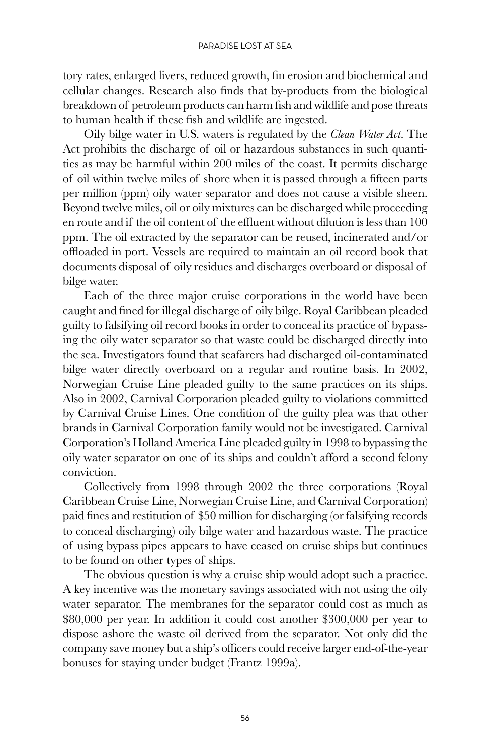tory rates, enlarged livers, reduced growth, fin erosion and biochemical and cellular changes. Research also finds that by-products from the biological breakdown of petroleum products can harm fish and wildlife and pose threats to human health if these fish and wildlife are ingested.

Oily bilge water in U.S. waters is regulated by the *Clean Water Act*. The Act prohibits the discharge of oil or hazardous substances in such quantities as may be harmful within 200 miles of the coast. It permits discharge of oil within twelve miles of shore when it is passed through a fifteen parts per million (ppm) oily water separator and does not cause a visible sheen. Beyond twelve miles, oil or oily mixtures can be discharged while proceeding en route and if the oil content of the effluent without dilution is less than 100 ppm. The oil extracted by the separator can be reused, incinerated and/or offloaded in port. Vessels are required to maintain an oil record book that documents disposal of oily residues and discharges overboard or disposal of bilge water.

Each of the three major cruise corporations in the world have been caught and fined for illegal discharge of oily bilge. Royal Caribbean pleaded guilty to falsifying oil record books in order to conceal its practice of bypassing the oily water separator so that waste could be discharged directly into the sea. Investigators found that seafarers had discharged oil-contaminated bilge water directly overboard on a regular and routine basis. In 2002, Norwegian Cruise Line pleaded guilty to the same practices on its ships. Also in 2002, Carnival Corporation pleaded guilty to violations committed by Carnival Cruise Lines. One condition of the guilty plea was that other brands in Carnival Corporation family would not be investigated. Carnival Corporation's Holland America Line pleaded guilty in 1998 to bypassing the oily water separator on one of its ships and couldn't afford a second felony conviction.

Collectively from 1998 through 2002 the three corporations (Royal Caribbean Cruise Line, Norwegian Cruise Line, and Carnival Corporation) paid fines and restitution of \$50 million for discharging (or falsifying records to conceal discharging) oily bilge water and hazardous waste. The practice of using bypass pipes appears to have ceased on cruise ships but continues to be found on other types of ships.

The obvious question is why a cruise ship would adopt such a practice. A key incentive was the monetary savings associated with not using the oily water separator. The membranes for the separator could cost as much as \$80,000 per year. In addition it could cost another \$300,000 per year to dispose ashore the waste oil derived from the separator. Not only did the company save money but a ship's officers could receive larger end-of-the-year bonuses for staying under budget (Frantz 1999a).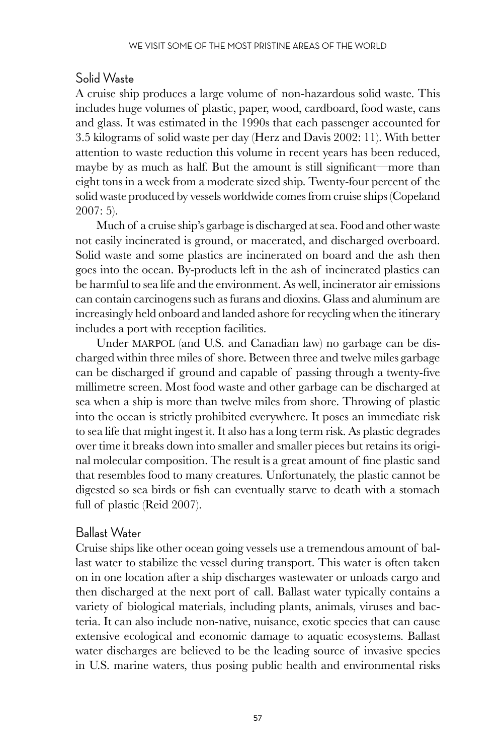#### Solid Waste

A cruise ship produces a large volume of non-hazardous solid waste. This includes huge volumes of plastic, paper, wood, cardboard, food waste, cans and glass. It was estimated in the 1990s that each passenger accounted for 3.5 kilograms of solid waste per day (Herz and Davis 2002: 11). With better attention to waste reduction this volume in recent years has been reduced, maybe by as much as half. But the amount is still significant—more than eight tons in a week from a moderate sized ship. Twenty-four percent of the solid waste produced by vessels worldwide comes from cruise ships (Copeland 2007: 5).

Much of a cruise ship's garbage is discharged at sea. Food and other waste not easily incinerated is ground, or macerated, and discharged overboard. Solid waste and some plastics are incinerated on board and the ash then goes into the ocean. By-products left in the ash of incinerated plastics can be harmful to sea life and the environment. As well, incinerator air emissions can contain carcinogens such as furans and dioxins. Glass and aluminum are increasingly held onboard and landed ashore for recycling when the itinerary includes a port with reception facilities.

Under MARPOL (and U.S. and Canadian law) no garbage can be discharged within three miles of shore. Between three and twelve miles garbage can be discharged if ground and capable of passing through a twenty-five millimetre screen. Most food waste and other garbage can be discharged at sea when a ship is more than twelve miles from shore. Throwing of plastic into the ocean is strictly prohibited everywhere. It poses an immediate risk to sea life that might ingest it. It also has a long term risk. As plastic degrades over time it breaks down into smaller and smaller pieces but retains its original molecular composition. The result is a great amount of fine plastic sand that resembles food to many creatures. Unfortunately, the plastic cannot be digested so sea birds or fish can eventually starve to death with a stomach full of plastic (Reid 2007).

#### Ballast Water

Cruise ships like other ocean going vessels use a tremendous amount of ballast water to stabilize the vessel during transport. This water is often taken on in one location after a ship discharges wastewater or unloads cargo and then discharged at the next port of call. Ballast water typically contains a variety of biological materials, including plants, animals, viruses and bacteria. It can also include non-native, nuisance, exotic species that can cause extensive ecological and economic damage to aquatic ecosystems. Ballast water discharges are believed to be the leading source of invasive species in U.S. marine waters, thus posing public health and environmental risks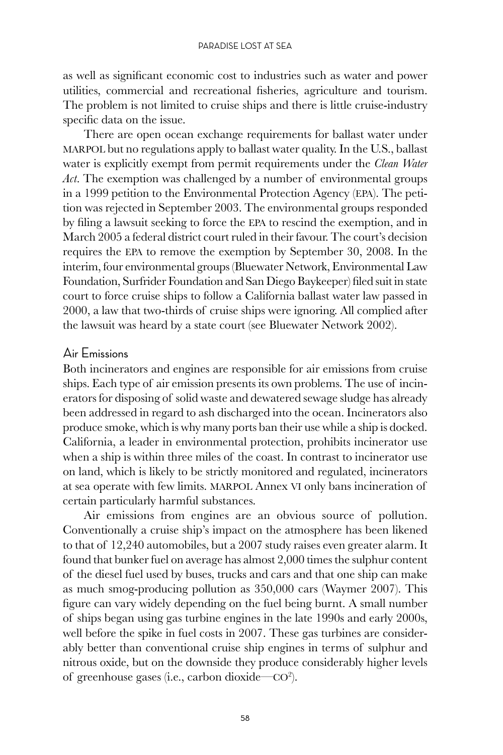as well as significant economic cost to industries such as water and power utilities, commercial and recreational fisheries, agriculture and tourism. The problem is not limited to cruise ships and there is little cruise-industry specific data on the issue.

There are open ocean exchange requirements for ballast water under marpol but no regulations apply to ballast water quality. In the U.S., ballast water is explicitly exempt from permit requirements under the *Clean Water Act*. The exemption was challenged by a number of environmental groups in a 1999 petition to the Environmental Protection Agency (epa). The petition was rejected in September 2003. The environmental groups responded by filing a lawsuit seeking to force the epa to rescind the exemption, and in March 2005 a federal district court ruled in their favour. The court's decision requires the epa to remove the exemption by September 30, 2008. In the interim, four environmental groups (Bluewater Network, Environmental Law Foundation, Surfrider Foundation and San Diego Baykeeper) filed suit in state court to force cruise ships to follow a California ballast water law passed in 2000, a law that two-thirds of cruise ships were ignoring. All complied after the lawsuit was heard by a state court (see Bluewater Network 2002).

#### Air Emissions

Both incinerators and engines are responsible for air emissions from cruise ships. Each type of air emission presents its own problems. The use of incinerators for disposing of solid waste and dewatered sewage sludge has already been addressed in regard to ash discharged into the ocean. Incinerators also produce smoke, which is why many ports ban their use while a ship is docked. California, a leader in environmental protection, prohibits incinerator use when a ship is within three miles of the coast. In contrast to incinerator use on land, which is likely to be strictly monitored and regulated, incinerators at sea operate with few limits. MARPOL Annex VI only bans incineration of certain particularly harmful substances.

Air emissions from engines are an obvious source of pollution. Conventionally a cruise ship's impact on the atmosphere has been likened to that of 12,240 automobiles, but a 2007 study raises even greater alarm. It found that bunker fuel on average has almost 2,000 times the sulphur content of the diesel fuel used by buses, trucks and cars and that one ship can make as much smog-producing pollution as 350,000 cars (Waymer 2007). This figure can vary widely depending on the fuel being burnt. A small number of ships began using gas turbine engines in the late 1990s and early 2000s, well before the spike in fuel costs in 2007. These gas turbines are considerably better than conventional cruise ship engines in terms of sulphur and nitrous oxide, but on the downside they produce considerably higher levels of greenhouse gases (i.e., carbon dioxide—co2 ).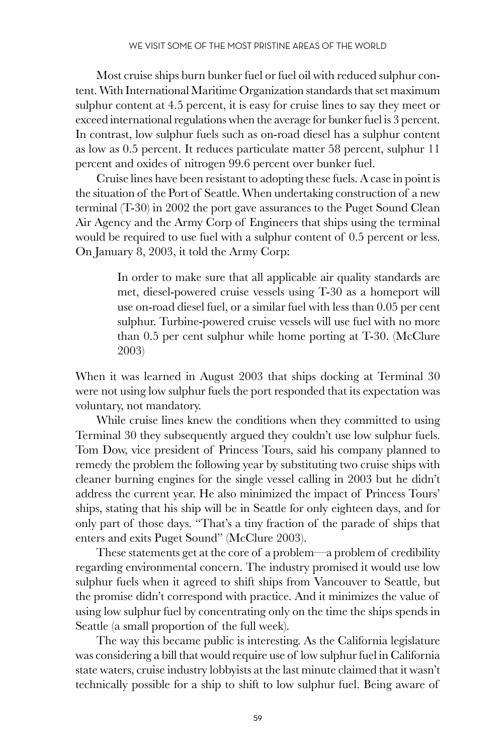Most cruise ships burn bunker fuel or fuel oil with reduced sulphur content. With International Maritime Organization standards that set maximum sulphur content at 4.5 percent, it is easy for cruise lines to say they meet or exceed international regulations when the average for bunker fuel is 3 percent. In contrast, low sulphur fuels such as on-road diesel has a sulphur content as low as 0.5 percent. It reduces particulate matter 58 percent, sulphur 11 percent and oxides of nitrogen 99.6 percent over bunker fuel.

Cruise lines have been resistant to adopting these fuels. A case in point is the situation of the Port of Seattle. When undertaking construction of a new terminal (T-30) in 2002 the port gave assurances to the Puget Sound Clean Air Agency and the Army Corp of Engineers that ships using the terminal would be required to use fuel with a sulphur content of 0.5 percent or less. On January 8, 2003, it told the Army Corp:

> In order to make sure that all applicable air quality standards are met, diesel-powered cruise vessels using T-30 as a homeport will use on-road diesel fuel, or a similar fuel with less than 0.05 per cent sulphur. Turbine-powered cruise vessels will use fuel with no more than 0.5 per cent sulphur while home porting at T-30. (McClure 2003)

When it was learned in August 2003 that ships docking at Terminal 30 were not using low sulphur fuels the port responded that its expectation was voluntary, not mandatory.

While cruise lines knew the conditions when they committed to using Terminal 30 they subsequently argued they couldn't use low sulphur fuels. Tom Dow, vice president of Princess Tours, said his company planned to remedy the problem the following year by substituting two cruise ships with cleaner burning engines for the single vessel calling in 2003 but he didn't address the current year. He also minimized the impact of Princess Tours' ships, stating that his ship will be in Seattle for only eighteen days, and for only part of those days. "That's a tiny fraction of the parade of ships that enters and exits Puget Sound" (McClure 2003).

These statements get at the core of a problem—a problem of credibility regarding environmental concern. The industry promised it would use low sulphur fuels when it agreed to shift ships from Vancouver to Seattle, but the promise didn't correspond with practice. And it minimizes the value of using low sulphur fuel by concentrating only on the time the ships spends in Seattle (a small proportion of the full week).

The way this became public is interesting. As the California legislature was considering a bill that would require use of low sulphur fuel in California state waters, cruise industry lobbyists at the last minute claimed that it wasn't technically possible for a ship to shift to low sulphur fuel. Being aware of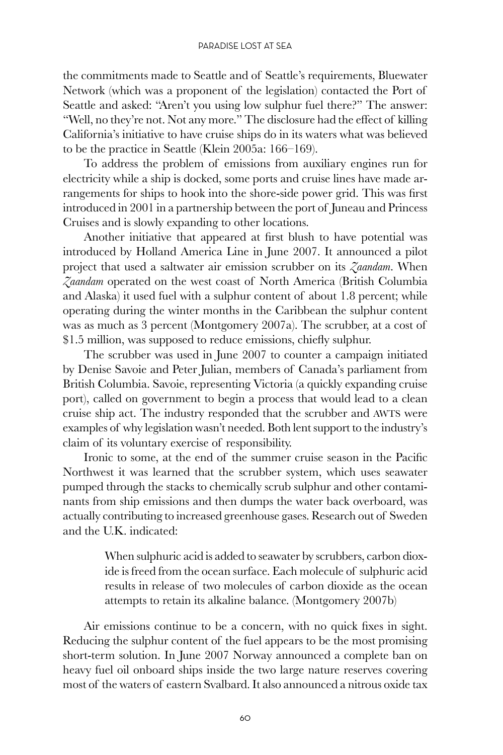the commitments made to Seattle and of Seattle's requirements, Bluewater Network (which was a proponent of the legislation) contacted the Port of Seattle and asked: "Aren't you using low sulphur fuel there?" The answer: "Well, no they're not. Not any more." The disclosure had the effect of killing California's initiative to have cruise ships do in its waters what was believed to be the practice in Seattle (Klein 2005a: 166–169).

To address the problem of emissions from auxiliary engines run for electricity while a ship is docked, some ports and cruise lines have made arrangements for ships to hook into the shore-side power grid. This was first introduced in 2001 in a partnership between the port of Juneau and Princess Cruises and is slowly expanding to other locations.

Another initiative that appeared at first blush to have potential was introduced by Holland America Line in June 2007. It announced a pilot project that used a saltwater air emission scrubber on its *Zaandam*. When *Zaandam* operated on the west coast of North America (British Columbia and Alaska) it used fuel with a sulphur content of about 1.8 percent; while operating during the winter months in the Caribbean the sulphur content was as much as 3 percent (Montgomery 2007a). The scrubber, at a cost of \$1.5 million, was supposed to reduce emissions, chiefly sulphur.

The scrubber was used in June 2007 to counter a campaign initiated by Denise Savoie and Peter Julian, members of Canada's parliament from British Columbia. Savoie, representing Victoria (a quickly expanding cruise port), called on government to begin a process that would lead to a clean cruise ship act. The industry responded that the scrubber and awts were examples of why legislation wasn't needed. Both lent support to the industry's claim of its voluntary exercise of responsibility.

Ironic to some, at the end of the summer cruise season in the Pacific Northwest it was learned that the scrubber system, which uses seawater pumped through the stacks to chemically scrub sulphur and other contaminants from ship emissions and then dumps the water back overboard, was actually contributing to increased greenhouse gases. Research out of Sweden and the U.K. indicated:

> When sulphuric acid is added to seawater by scrubbers, carbon dioxide is freed from the ocean surface. Each molecule of sulphuric acid results in release of two molecules of carbon dioxide as the ocean attempts to retain its alkaline balance. (Montgomery 2007b)

Air emissions continue to be a concern, with no quick fixes in sight. Reducing the sulphur content of the fuel appears to be the most promising short-term solution. In June 2007 Norway announced a complete ban on heavy fuel oil onboard ships inside the two large nature reserves covering most of the waters of eastern Svalbard. It also announced a nitrous oxide tax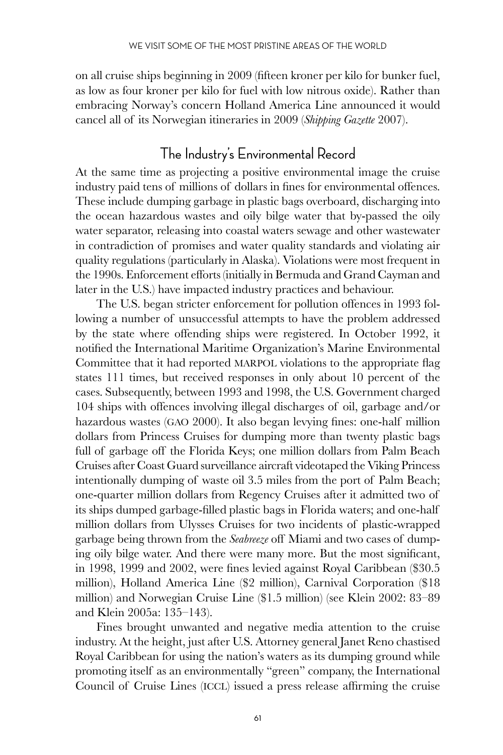on all cruise ships beginning in 2009 (fifteen kroner per kilo for bunker fuel, as low as four kroner per kilo for fuel with low nitrous oxide). Rather than embracing Norway's concern Holland America Line announced it would cancel all of its Norwegian itineraries in 2009 (*Shipping Gazette* 2007).

# The Industry's Environmental Record

At the same time as projecting a positive environmental image the cruise industry paid tens of millions of dollars in fines for environmental offences. These include dumping garbage in plastic bags overboard, discharging into the ocean hazardous wastes and oily bilge water that by-passed the oily water separator, releasing into coastal waters sewage and other wastewater in contradiction of promises and water quality standards and violating air quality regulations (particularly in Alaska). Violations were most frequent in the 1990s. Enforcement efforts (initially in Bermuda and Grand Cayman and later in the U.S.) have impacted industry practices and behaviour.

The U.S. began stricter enforcement for pollution offences in 1993 following a number of unsuccessful attempts to have the problem addressed by the state where offending ships were registered. In October 1992, it notified the International Maritime Organization's Marine Environmental Committee that it had reported MARPOL violations to the appropriate flag states 111 times, but received responses in only about 10 percent of the cases. Subsequently, between 1993 and 1998, the U.S. Government charged 104 ships with offences involving illegal discharges of oil, garbage and/or hazardous wastes (GAO 2000). It also began levying fines: one-half million dollars from Princess Cruises for dumping more than twenty plastic bags full of garbage off the Florida Keys; one million dollars from Palm Beach Cruises after Coast Guard surveillance aircraft videotaped the Viking Princess intentionally dumping of waste oil 3.5 miles from the port of Palm Beach; one-quarter million dollars from Regency Cruises after it admitted two of its ships dumped garbage-filled plastic bags in Florida waters; and one-half million dollars from Ulysses Cruises for two incidents of plastic-wrapped garbage being thrown from the *Seabreeze* off Miami and two cases of dumping oily bilge water. And there were many more. But the most significant, in 1998, 1999 and 2002, were fines levied against Royal Caribbean (\$30.5 million), Holland America Line (\$2 million), Carnival Corporation (\$18 million) and Norwegian Cruise Line (\$1.5 million) (see Klein 2002: 83–89 and Klein 2005a: 135–143).

Fines brought unwanted and negative media attention to the cruise industry. At the height, just after U.S. Attorney general Janet Reno chastised Royal Caribbean for using the nation's waters as its dumping ground while promoting itself as an environmentally "green" company, the International Council of Cruise Lines (iccl) issued a press release affirming the cruise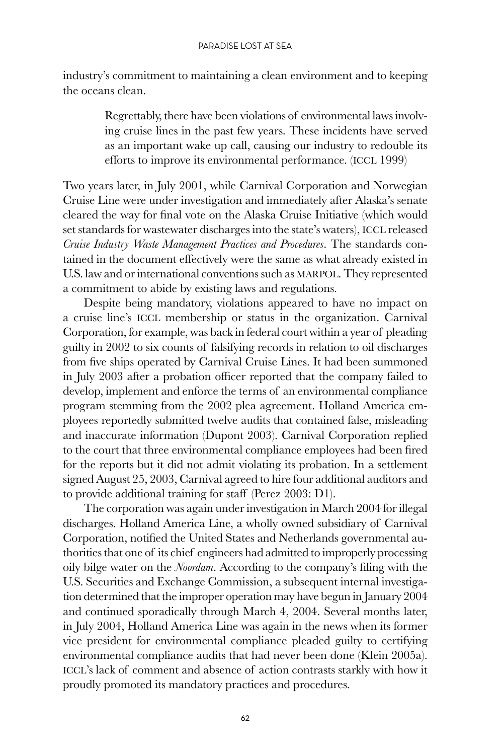industry's commitment to maintaining a clean environment and to keeping the oceans clean.

> Regrettably, there have been violations of environmental laws involving cruise lines in the past few years. These incidents have served as an important wake up call, causing our industry to redouble its efforts to improve its environmental performance. (ICCL 1999)

Two years later, in July 2001, while Carnival Corporation and Norwegian Cruise Line were under investigation and immediately after Alaska's senate cleared the way for final vote on the Alaska Cruise Initiative (which would set standards for wastewater discharges into the state's waters), ICCL released *Cruise Industry Waste Management Practices and Procedures*. The standards contained in the document effectively were the same as what already existed in U.S. law and or international conventions such as MARPOL. They represented a commitment to abide by existing laws and regulations.

Despite being mandatory, violations appeared to have no impact on a cruise line's iccl membership or status in the organization. Carnival Corporation, for example, was back in federal court within a year of pleading guilty in 2002 to six counts of falsifying records in relation to oil discharges from five ships operated by Carnival Cruise Lines. It had been summoned in July 2003 after a probation officer reported that the company failed to develop, implement and enforce the terms of an environmental compliance program stemming from the 2002 plea agreement. Holland America employees reportedly submitted twelve audits that contained false, misleading and inaccurate information (Dupont 2003). Carnival Corporation replied to the court that three environmental compliance employees had been fired for the reports but it did not admit violating its probation. In a settlement signed August 25, 2003, Carnival agreed to hire four additional auditors and to provide additional training for staff (Perez 2003: D1).

The corporation was again under investigation in March 2004 for illegal discharges. Holland America Line, a wholly owned subsidiary of Carnival Corporation, notified the United States and Netherlands governmental authorities that one of its chief engineers had admitted to improperly processing oily bilge water on the *Noordam*. According to the company's filing with the U.S. Securities and Exchange Commission, a subsequent internal investigation determined that the improper operation may have begun in January 2004 and continued sporadically through March 4, 2004. Several months later, in July 2004, Holland America Line was again in the news when its former vice president for environmental compliance pleaded guilty to certifying environmental compliance audits that had never been done (Klein 2005a). iccl's lack of comment and absence of action contrasts starkly with how it proudly promoted its mandatory practices and procedures.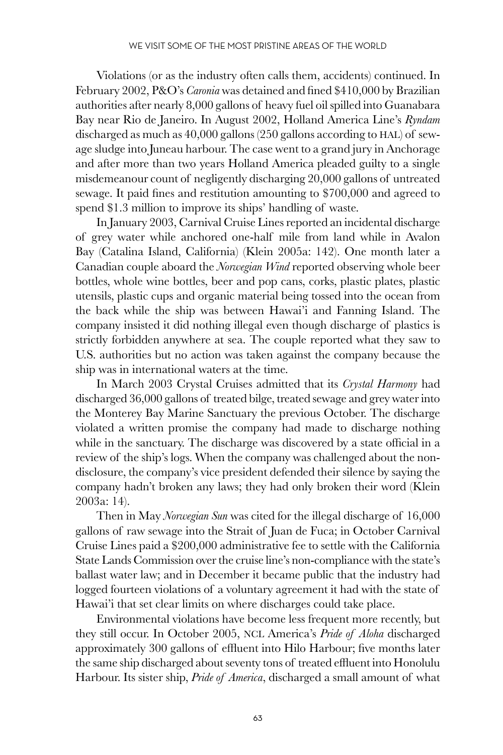Violations (or as the industry often calls them, accidents) continued. In February 2002, P&O's *Caronia* was detained and fined \$410,000 by Brazilian authorities after nearly 8,000 gallons of heavy fuel oil spilled into Guanabara Bay near Rio de Janeiro. In August 2002, Holland America Line's *Ryndam* discharged as much as 40,000 gallons (250 gallons according to HAL) of sewage sludge into Juneau harbour. The case went to a grand jury in Anchorage and after more than two years Holland America pleaded guilty to a single misdemeanour count of negligently discharging 20,000 gallons of untreated sewage. It paid fines and restitution amounting to \$700,000 and agreed to spend \$1.3 million to improve its ships' handling of waste.

In January 2003, Carnival Cruise Lines reported an incidental discharge of grey water while anchored one-half mile from land while in Avalon Bay (Catalina Island, California) (Klein 2005a: 142). One month later a Canadian couple aboard the *Norwegian Wind* reported observing whole beer bottles, whole wine bottles, beer and pop cans, corks, plastic plates, plastic utensils, plastic cups and organic material being tossed into the ocean from the back while the ship was between Hawai'i and Fanning Island. The company insisted it did nothing illegal even though discharge of plastics is strictly forbidden anywhere at sea. The couple reported what they saw to U.S. authorities but no action was taken against the company because the ship was in international waters at the time.

In March 2003 Crystal Cruises admitted that its *Crystal Harmony* had discharged 36,000 gallons of treated bilge, treated sewage and grey water into the Monterey Bay Marine Sanctuary the previous October. The discharge violated a written promise the company had made to discharge nothing while in the sanctuary. The discharge was discovered by a state official in a review of the ship's logs. When the company was challenged about the nondisclosure, the company's vice president defended their silence by saying the company hadn't broken any laws; they had only broken their word (Klein 2003a: 14).

Then in May *Norwegian Sun* was cited for the illegal discharge of 16,000 gallons of raw sewage into the Strait of Juan de Fuca; in October Carnival Cruise Lines paid a \$200,000 administrative fee to settle with the California State Lands Commission over the cruise line's non-compliance with the state's ballast water law; and in December it became public that the industry had logged fourteen violations of a voluntary agreement it had with the state of Hawai'i that set clear limits on where discharges could take place.

Environmental violations have become less frequent more recently, but they still occur. In October 2005, NCL America's *Pride of Aloha* discharged approximately 300 gallons of effluent into Hilo Harbour; five months later the same ship discharged about seventy tons of treated effluent into Honolulu Harbour. Its sister ship, *Pride of America*, discharged a small amount of what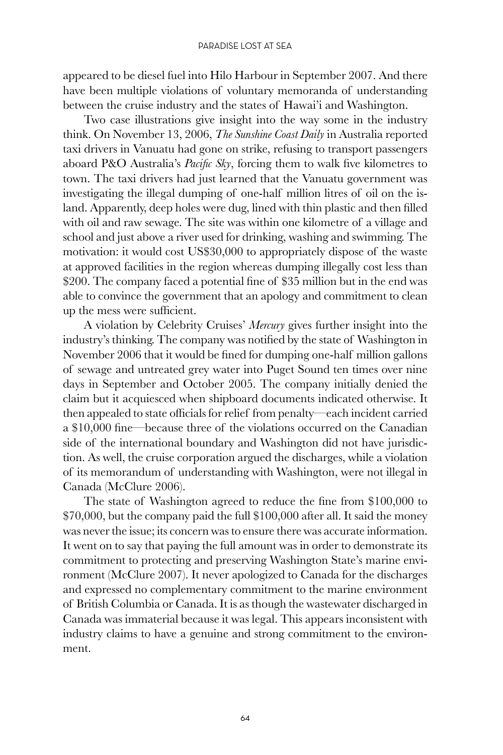appeared to be diesel fuel into Hilo Harbour in September 2007. And there have been multiple violations of voluntary memoranda of understanding between the cruise industry and the states of Hawai'i and Washington.

Two case illustrations give insight into the way some in the industry think. On November 13, 2006, *The Sunshine Coast Daily* in Australia reported taxi drivers in Vanuatu had gone on strike, refusing to transport passengers aboard P&O Australia's *Pacific Sky*, forcing them to walk five kilometres to town. The taxi drivers had just learned that the Vanuatu government was investigating the illegal dumping of one-half million litres of oil on the island. Apparently, deep holes were dug, lined with thin plastic and then filled with oil and raw sewage. The site was within one kilometre of a village and school and just above a river used for drinking, washing and swimming. The motivation: it would cost US\$30,000 to appropriately dispose of the waste at approved facilities in the region whereas dumping illegally cost less than \$200. The company faced a potential fine of \$35 million but in the end was able to convince the government that an apology and commitment to clean up the mess were sufficient.

A violation by Celebrity Cruises' *Mercury* gives further insight into the industry's thinking. The company was notified by the state of Washington in November 2006 that it would be fined for dumping one-half million gallons of sewage and untreated grey water into Puget Sound ten times over nine days in September and October 2005. The company initially denied the claim but it acquiesced when shipboard documents indicated otherwise. It then appealed to state officials for relief from penalty—each incident carried a \$10,000 fine—because three of the violations occurred on the Canadian side of the international boundary and Washington did not have jurisdiction. As well, the cruise corporation argued the discharges, while a violation of its memorandum of understanding with Washington, were not illegal in Canada (McClure 2006).

The state of Washington agreed to reduce the fine from \$100,000 to \$70,000, but the company paid the full \$100,000 after all. It said the money was never the issue; its concern was to ensure there was accurate information. It went on to say that paying the full amount was in order to demonstrate its commitment to protecting and preserving Washington State's marine environment (McClure 2007). It never apologized to Canada for the discharges and expressed no complementary commitment to the marine environment of British Columbia or Canada. It is as though the wastewater discharged in Canada was immaterial because it was legal. This appears inconsistent with industry claims to have a genuine and strong commitment to the environment.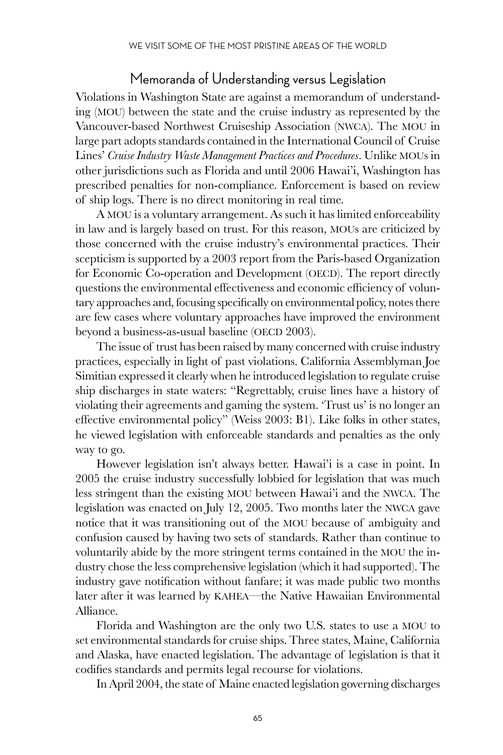#### Memoranda of Understanding versus Legislation

Violations in Washington State are against a memorandum of understanding (mou) between the state and the cruise industry as represented by the Vancouver-based Northwest Cruiseship Association (nwca). The mou in large part adopts standards contained in the International Council of Cruise Lines' *Cruise Industry Waste Management Practices and Procedures*. Unlike mous in other jurisdictions such as Florida and until 2006 Hawai'i, Washington has prescribed penalties for non-compliance. Enforcement is based on review of ship logs. There is no direct monitoring in real time.

A mou is a voluntary arrangement. As such it has limited enforceability in law and is largely based on trust. For this reason, mous are criticized by those concerned with the cruise industry's environmental practices. Their scepticism is supported by a 2003 report from the Paris-based Organization for Economic Co-operation and Development (OECD). The report directly questions the environmental effectiveness and economic efficiency of voluntary approaches and, focusing specifically on environmental policy, notes there are few cases where voluntary approaches have improved the environment beyond a business-as-usual baseline (OECD 2003).

The issue of trust has been raised by many concerned with cruise industry practices, especially in light of past violations. California Assemblyman Joe Simitian expressed it clearly when he introduced legislation to regulate cruise ship discharges in state waters: "Regrettably, cruise lines have a history of violating their agreements and gaming the system. 'Trust us' is no longer an effective environmental policy" (Weiss 2003: B1). Like folks in other states, he viewed legislation with enforceable standards and penalties as the only way to go.

However legislation isn't always better. Hawai'i is a case in point. In 2005 the cruise industry successfully lobbied for legislation that was much less stringent than the existing mou between Hawai'i and the nwca. The legislation was enacted on July 12, 2005. Two months later the nwca gave notice that it was transitioning out of the mou because of ambiguity and confusion caused by having two sets of standards. Rather than continue to voluntarily abide by the more stringent terms contained in the mou the industry chose the less comprehensive legislation (which it had supported). The industry gave notification without fanfare; it was made public two months later after it was learned by KAHEA—the Native Hawaiian Environmental Alliance.

Florida and Washington are the only two U.S. states to use a mou to set environmental standards for cruise ships. Three states, Maine, California and Alaska, have enacted legislation. The advantage of legislation is that it codifies standards and permits legal recourse for violations.

In April 2004, the state of Maine enacted legislation governing discharges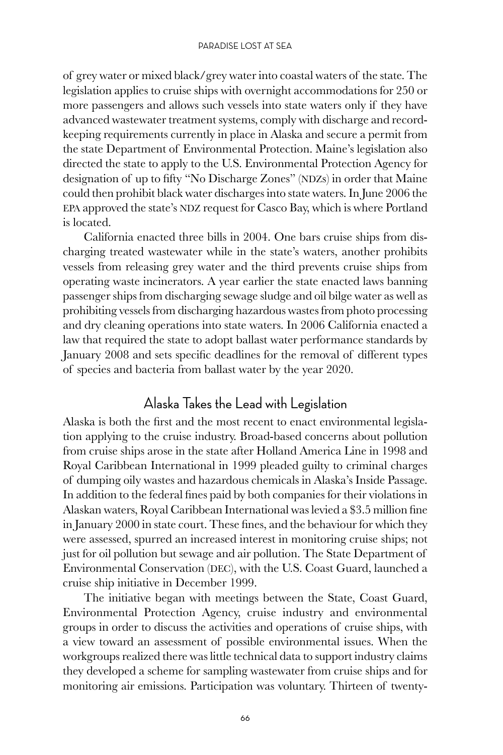of grey water or mixed black/grey water into coastal waters of the state. The legislation applies to cruise ships with overnight accommodations for 250 or more passengers and allows such vessels into state waters only if they have advanced wastewater treatment systems, comply with discharge and recordkeeping requirements currently in place in Alaska and secure a permit from the state Department of Environmental Protection. Maine's legislation also directed the state to apply to the U.S. Environmental Protection Agency for designation of up to fifty "No Discharge Zones" (NDZs) in order that Maine could then prohibit black water discharges into state waters. In June 2006 the EPA approved the state's NDZ request for Casco Bay, which is where Portland is located.

California enacted three bills in 2004. One bars cruise ships from discharging treated wastewater while in the state's waters, another prohibits vessels from releasing grey water and the third prevents cruise ships from operating waste incinerators. A year earlier the state enacted laws banning passenger ships from discharging sewage sludge and oil bilge water as well as prohibiting vessels from discharging hazardous wastes from photo processing and dry cleaning operations into state waters. In 2006 California enacted a law that required the state to adopt ballast water performance standards by January 2008 and sets specific deadlines for the removal of different types of species and bacteria from ballast water by the year 2020.

### Alaska Takes the Lead with Legislation

Alaska is both the first and the most recent to enact environmental legislation applying to the cruise industry. Broad-based concerns about pollution from cruise ships arose in the state after Holland America Line in 1998 and Royal Caribbean International in 1999 pleaded guilty to criminal charges of dumping oily wastes and hazardous chemicals in Alaska's Inside Passage. In addition to the federal fines paid by both companies for their violations in Alaskan waters, Royal Caribbean International was levied a \$3.5 million fine in January 2000 in state court. These fines, and the behaviour for which they were assessed, spurred an increased interest in monitoring cruise ships; not just for oil pollution but sewage and air pollution. The State Department of Environmental Conservation (DEC), with the U.S. Coast Guard, launched a cruise ship initiative in December 1999.

The initiative began with meetings between the State, Coast Guard, Environmental Protection Agency, cruise industry and environmental groups in order to discuss the activities and operations of cruise ships, with a view toward an assessment of possible environmental issues. When the workgroups realized there was little technical data to support industry claims they developed a scheme for sampling wastewater from cruise ships and for monitoring air emissions. Participation was voluntary. Thirteen of twenty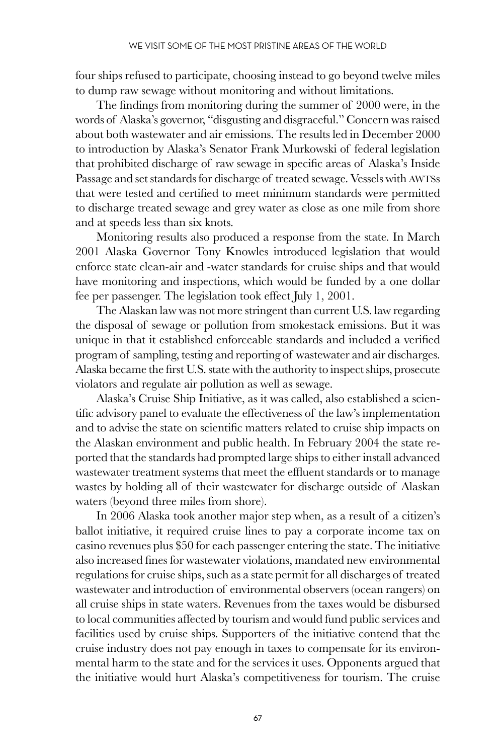four ships refused to participate, choosing instead to go beyond twelve miles to dump raw sewage without monitoring and without limitations.

The findings from monitoring during the summer of 2000 were, in the words of Alaska's governor, "disgusting and disgraceful." Concern was raised about both wastewater and air emissions. The results led in December 2000 to introduction by Alaska's Senator Frank Murkowski of federal legislation that prohibited discharge of raw sewage in specific areas of Alaska's Inside Passage and set standards for discharge of treated sewage. Vessels with AWTSs that were tested and certified to meet minimum standards were permitted to discharge treated sewage and grey water as close as one mile from shore and at speeds less than six knots.

Monitoring results also produced a response from the state. In March 2001 Alaska Governor Tony Knowles introduced legislation that would enforce state clean-air and -water standards for cruise ships and that would have monitoring and inspections, which would be funded by a one dollar fee per passenger. The legislation took effect July 1, 2001.

The Alaskan law was not more stringent than current U.S. law regarding the disposal of sewage or pollution from smokestack emissions. But it was unique in that it established enforceable standards and included a verified program of sampling, testing and reporting of wastewater and air discharges. Alaska became the first U.S. state with the authority to inspect ships, prosecute violators and regulate air pollution as well as sewage.

Alaska's Cruise Ship Initiative, as it was called, also established a scientific advisory panel to evaluate the effectiveness of the law's implementation and to advise the state on scientific matters related to cruise ship impacts on the Alaskan environment and public health. In February 2004 the state reported that the standards had prompted large ships to either install advanced wastewater treatment systems that meet the effluent standards or to manage wastes by holding all of their wastewater for discharge outside of Alaskan waters (beyond three miles from shore).

In 2006 Alaska took another major step when, as a result of a citizen's ballot initiative, it required cruise lines to pay a corporate income tax on casino revenues plus \$50 for each passenger entering the state. The initiative also increased fines for wastewater violations, mandated new environmental regulations for cruise ships, such as a state permit for all discharges of treated wastewater and introduction of environmental observers (ocean rangers) on all cruise ships in state waters. Revenues from the taxes would be disbursed to local communities affected by tourism and would fund public services and facilities used by cruise ships. Supporters of the initiative contend that the cruise industry does not pay enough in taxes to compensate for its environmental harm to the state and for the services it uses. Opponents argued that the initiative would hurt Alaska's competitiveness for tourism. The cruise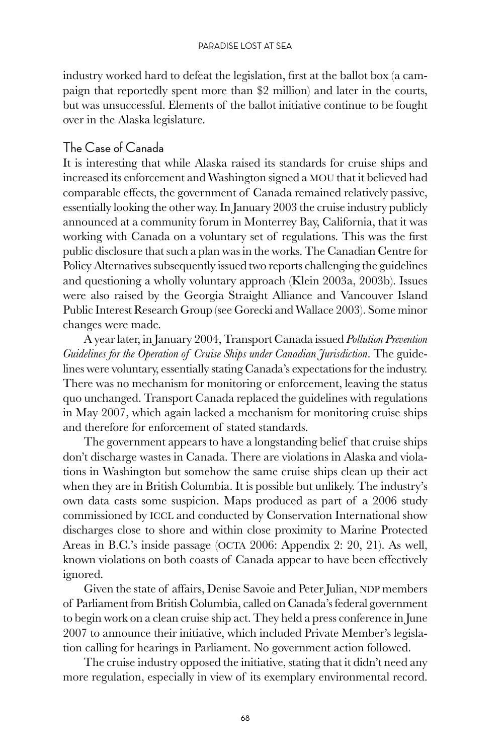industry worked hard to defeat the legislation, first at the ballot box (a campaign that reportedly spent more than \$2 million) and later in the courts, but was unsuccessful. Elements of the ballot initiative continue to be fought over in the Alaska legislature.

#### The Case of Canada

It is interesting that while Alaska raised its standards for cruise ships and increased its enforcement and Washington signed a mou that it believed had comparable effects, the government of Canada remained relatively passive, essentially looking the other way. In January 2003 the cruise industry publicly announced at a community forum in Monterrey Bay, California, that it was working with Canada on a voluntary set of regulations. This was the first public disclosure that such a plan was in the works. The Canadian Centre for Policy Alternatives subsequently issued two reports challenging the guidelines and questioning a wholly voluntary approach (Klein 2003a, 2003b). Issues were also raised by the Georgia Straight Alliance and Vancouver Island Public Interest Research Group (see Gorecki and Wallace 2003). Some minor changes were made.

A year later, in January 2004, Transport Canada issued *Pollution Prevention Guidelines for the Operation of Cruise Ships under Canadian Jurisdiction*. The guidelines were voluntary, essentially stating Canada's expectations for the industry. There was no mechanism for monitoring or enforcement, leaving the status quo unchanged. Transport Canada replaced the guidelines with regulations in May 2007, which again lacked a mechanism for monitoring cruise ships and therefore for enforcement of stated standards.

The government appears to have a longstanding belief that cruise ships don't discharge wastes in Canada. There are violations in Alaska and violations in Washington but somehow the same cruise ships clean up their act when they are in British Columbia. It is possible but unlikely. The industry's own data casts some suspicion. Maps produced as part of a 2006 study commissioned by iccl and conducted by Conservation International show discharges close to shore and within close proximity to Marine Protected Areas in B.C.'s inside passage (OCTA 2006: Appendix 2: 20, 21). As well, known violations on both coasts of Canada appear to have been effectively ignored.

Given the state of affairs, Denise Savoie and Peter Julian, NDP members of Parliament from British Columbia, called on Canada's federal government to begin work on a clean cruise ship act. They held a press conference in June 2007 to announce their initiative, which included Private Member's legislation calling for hearings in Parliament. No government action followed.

The cruise industry opposed the initiative, stating that it didn't need any more regulation, especially in view of its exemplary environmental record.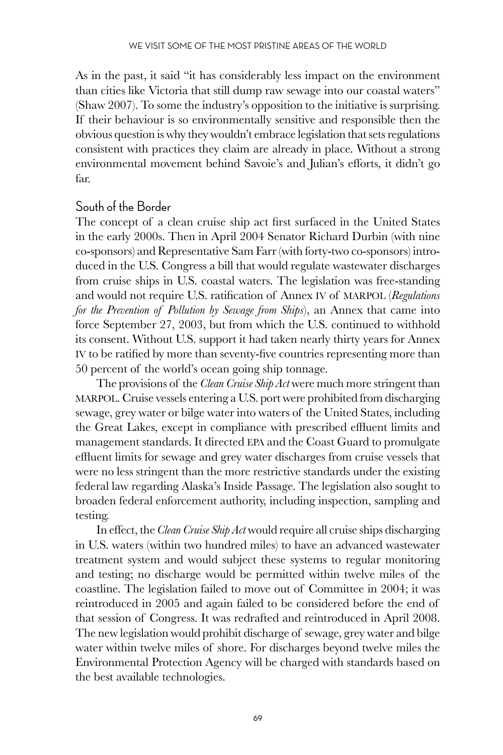As in the past, it said "it has considerably less impact on the environment than cities like Victoria that still dump raw sewage into our coastal waters" (Shaw 2007). To some the industry's opposition to the initiative is surprising. If their behaviour is so environmentally sensitive and responsible then the obvious question is why they wouldn't embrace legislation that sets regulations consistent with practices they claim are already in place. Without a strong environmental movement behind Savoie's and Julian's efforts, it didn't go far.

#### South of the Border

The concept of a clean cruise ship act first surfaced in the United States in the early 2000s. Then in April 2004 Senator Richard Durbin (with nine co-sponsors) and Representative Sam Farr (with forty-two co-sponsors) introduced in the U.S. Congress a bill that would regulate wastewater discharges from cruise ships in U.S. coastal waters. The legislation was free-standing and would not require U.S. ratification of Annex IV of MARPOL (*Regulations for the Prevention of Pollution by Sewage from Ships*), an Annex that came into force September 27, 2003, but from which the U.S. continued to withhold its consent. Without U.S. support it had taken nearly thirty years for Annex IV to be ratified by more than seventy-five countries representing more than 50 percent of the world's ocean going ship tonnage.

The provisions of the *Clean Cruise Ship Act* were much more stringent than marpol. Cruise vessels entering a U.S. port were prohibited from discharging sewage, grey water or bilge water into waters of the United States, including the Great Lakes, except in compliance with prescribed effluent limits and management standards. It directed epa and the Coast Guard to promulgate effluent limits for sewage and grey water discharges from cruise vessels that were no less stringent than the more restrictive standards under the existing federal law regarding Alaska's Inside Passage. The legislation also sought to broaden federal enforcement authority, including inspection, sampling and testing.

In effect, the *Clean Cruise Ship Act* would require all cruise ships discharging in U.S. waters (within two hundred miles) to have an advanced wastewater treatment system and would subject these systems to regular monitoring and testing; no discharge would be permitted within twelve miles of the coastline. The legislation failed to move out of Committee in 2004; it was reintroduced in 2005 and again failed to be considered before the end of that session of Congress. It was redrafted and reintroduced in April 2008. The new legislation would prohibit discharge of sewage, grey water and bilge water within twelve miles of shore. For discharges beyond twelve miles the Environmental Protection Agency will be charged with standards based on the best available technologies.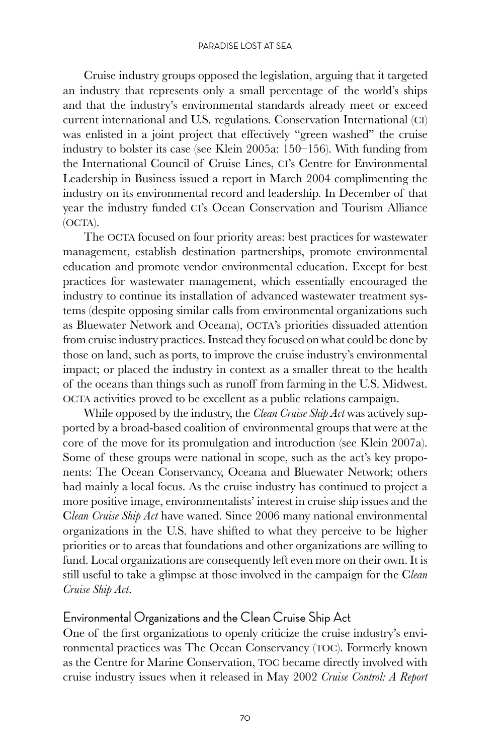#### Paradise Lost At Sea

Cruise industry groups opposed the legislation, arguing that it targeted an industry that represents only a small percentage of the world's ships and that the industry's environmental standards already meet or exceed current international and U.S. regulations. Conservation International (ci) was enlisted in a joint project that effectively "green washed" the cruise industry to bolster its case (see Klein 2005a: 150–156). With funding from the International Council of Cruise Lines, ci's Centre for Environmental Leadership in Business issued a report in March 2004 complimenting the industry on its environmental record and leadership. In December of that year the industry funded ci's Ocean Conservation and Tourism Alliance (OCTA).

The OCTA focused on four priority areas: best practices for wastewater management, establish destination partnerships, promote environmental education and promote vendor environmental education. Except for best practices for wastewater management, which essentially encouraged the industry to continue its installation of advanced wastewater treatment systems (despite opposing similar calls from environmental organizations such as Bluewater Network and Oceana), OCTA's priorities dissuaded attention from cruise industry practices. Instead they focused on what could be done by those on land, such as ports, to improve the cruise industry's environmental impact; or placed the industry in context as a smaller threat to the health of the oceans than things such as runoff from farming in the U.S. Midwest. octa activities proved to be excellent as a public relations campaign.

While opposed by the industry, the *Clean Cruise Ship Act* was actively supported by a broad-based coalition of environmental groups that were at the core of the move for its promulgation and introduction (see Klein 2007a). Some of these groups were national in scope, such as the act's key proponents: The Ocean Conservancy, Oceana and Bluewater Network; others had mainly a local focus. As the cruise industry has continued to project a more positive image, environmentalists' interest in cruise ship issues and the C*lean Cruise Ship Act* have waned. Since 2006 many national environmental organizations in the U.S. have shifted to what they perceive to be higher priorities or to areas that foundations and other organizations are willing to fund. Local organizations are consequently left even more on their own. It is still useful to take a glimpse at those involved in the campaign for the C*lean Cruise Ship Act*.

#### Environmental Organizations and the Clean Cruise Ship Act

One of the first organizations to openly criticize the cruise industry's environmental practices was The Ocean Conservancy (TOC). Formerly known as the Centre for Marine Conservation, toc became directly involved with cruise industry issues when it released in May 2002 *Cruise Control: A Report*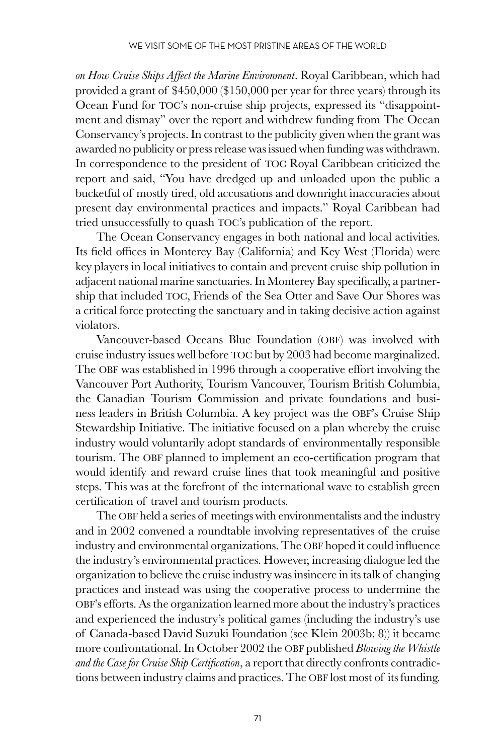*on How Cruise Ships Affect the Marine Environment*. Royal Caribbean, which had provided a grant of \$450,000 (\$150,000 per year for three years) through its Ocean Fund for toc's non-cruise ship projects, expressed its "disappointment and dismay" over the report and withdrew funding from The Ocean Conservancy's projects. In contrast to the publicity given when the grant was awarded no publicity or press release was issued when funding was withdrawn. In correspondence to the president of toc Royal Caribbean criticized the report and said, "You have dredged up and unloaded upon the public a bucketful of mostly tired, old accusations and downright inaccuracies about present day environmental practices and impacts." Royal Caribbean had tried unsuccessfully to quash toc's publication of the report.

The Ocean Conservancy engages in both national and local activities. Its field offices in Monterey Bay (California) and Key West (Florida) were key players in local initiatives to contain and prevent cruise ship pollution in adjacent national marine sanctuaries. In Monterey Bay specifically, a partnership that included toc, Friends of the Sea Otter and Save Our Shores was a critical force protecting the sanctuary and in taking decisive action against violators.

Vancouver-based Oceans Blue Foundation (OBF) was involved with cruise industry issues well before toc but by 2003 had become marginalized. The OBF was established in 1996 through a cooperative effort involving the Vancouver Port Authority, Tourism Vancouver, Tourism British Columbia, the Canadian Tourism Commission and private foundations and business leaders in British Columbia. A key project was the OBF's Cruise Ship Stewardship Initiative. The initiative focused on a plan whereby the cruise industry would voluntarily adopt standards of environmentally responsible tourism. The OBF planned to implement an eco-certification program that would identify and reward cruise lines that took meaningful and positive steps. This was at the forefront of the international wave to establish green certification of travel and tourism products.

The OBF held a series of meetings with environmentalists and the industry and in 2002 convened a roundtable involving representatives of the cruise industry and environmental organizations. The OBF hoped it could influence the industry's environmental practices. However, increasing dialogue led the organization to believe the cruise industry was insincere in its talk of changing practices and instead was using the cooperative process to undermine the obf's efforts. As the organization learned more about the industry's practices and experienced the industry's political games (including the industry's use of Canada-based David Suzuki Foundation (see Klein 2003b: 8)) it became more confrontational. In October 2002 the OBF published *Blowing the Whistle and the Case for Cruise Ship Certification*, a report that directly confronts contradictions between industry claims and practices. The OBF lost most of its funding.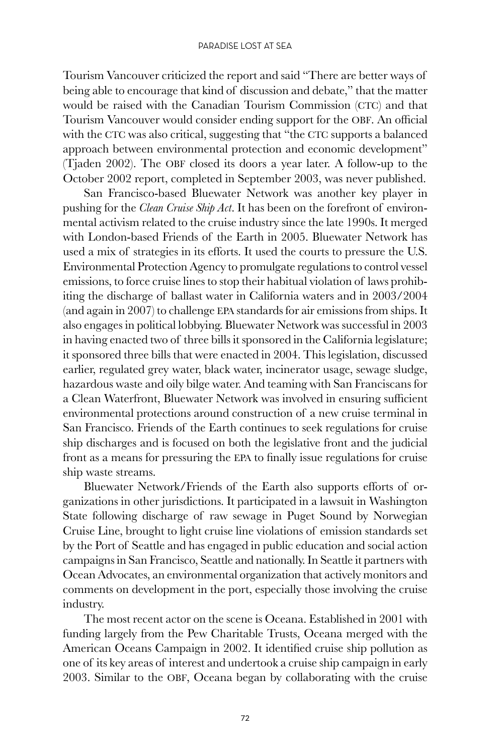Tourism Vancouver criticized the report and said "There are better ways of being able to encourage that kind of discussion and debate," that the matter would be raised with the Canadian Tourism Commission (CTC) and that Tourism Vancouver would consider ending support for the OBF. An official with the CTC was also critical, suggesting that "the CTC supports a balanced approach between environmental protection and economic development" (Tjaden 2002). The obf closed its doors a year later. A follow-up to the October 2002 report, completed in September 2003, was never published.

San Francisco-based Bluewater Network was another key player in pushing for the *Clean Cruise Ship Act*. It has been on the forefront of environmental activism related to the cruise industry since the late 1990s. It merged with London-based Friends of the Earth in 2005. Bluewater Network has used a mix of strategies in its efforts. It used the courts to pressure the U.S. Environmental Protection Agency to promulgate regulations to control vessel emissions, to force cruise lines to stop their habitual violation of laws prohibiting the discharge of ballast water in California waters and in 2003/2004 (and again in 2007) to challenge epa standards for air emissions from ships. It also engages in political lobbying. Bluewater Network was successful in 2003 in having enacted two of three bills it sponsored in the California legislature; it sponsored three bills that were enacted in 2004. This legislation, discussed earlier, regulated grey water, black water, incinerator usage, sewage sludge, hazardous waste and oily bilge water. And teaming with San Franciscans for a Clean Waterfront, Bluewater Network was involved in ensuring sufficient environmental protections around construction of a new cruise terminal in San Francisco. Friends of the Earth continues to seek regulations for cruise ship discharges and is focused on both the legislative front and the judicial front as a means for pressuring the epa to finally issue regulations for cruise ship waste streams.

Bluewater Network/Friends of the Earth also supports efforts of organizations in other jurisdictions. It participated in a lawsuit in Washington State following discharge of raw sewage in Puget Sound by Norwegian Cruise Line, brought to light cruise line violations of emission standards set by the Port of Seattle and has engaged in public education and social action campaigns in San Francisco, Seattle and nationally. In Seattle it partners with Ocean Advocates, an environmental organization that actively monitors and comments on development in the port, especially those involving the cruise industry.

The most recent actor on the scene is Oceana. Established in 2001 with funding largely from the Pew Charitable Trusts, Oceana merged with the American Oceans Campaign in 2002. It identified cruise ship pollution as one of its key areas of interest and undertook a cruise ship campaign in early 2003. Similar to the OBF, Oceana began by collaborating with the cruise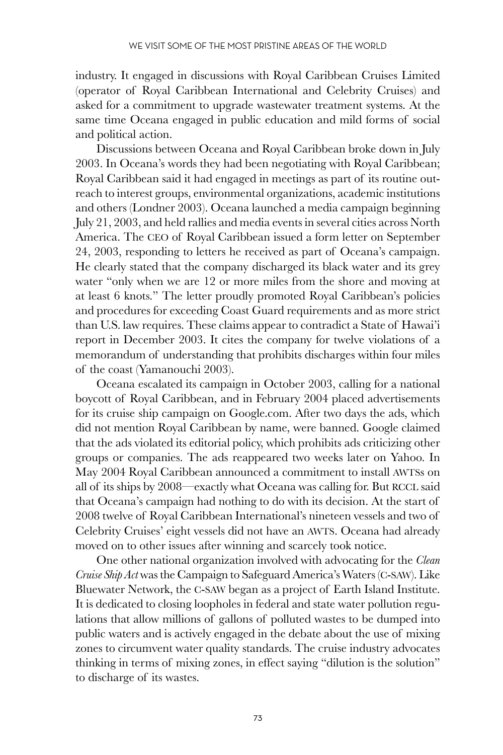industry. It engaged in discussions with Royal Caribbean Cruises Limited (operator of Royal Caribbean International and Celebrity Cruises) and asked for a commitment to upgrade wastewater treatment systems. At the same time Oceana engaged in public education and mild forms of social and political action.

Discussions between Oceana and Royal Caribbean broke down in July 2003. In Oceana's words they had been negotiating with Royal Caribbean; Royal Caribbean said it had engaged in meetings as part of its routine outreach to interest groups, environmental organizations, academic institutions and others (Londner 2003). Oceana launched a media campaign beginning July 21, 2003, and held rallies and media events in several cities across North America. The CEO of Royal Caribbean issued a form letter on September 24, 2003, responding to letters he received as part of Oceana's campaign. He clearly stated that the company discharged its black water and its grey water "only when we are 12 or more miles from the shore and moving at at least 6 knots." The letter proudly promoted Royal Caribbean's policies and procedures for exceeding Coast Guard requirements and as more strict than U.S. law requires. These claims appear to contradict a State of Hawai'i report in December 2003. It cites the company for twelve violations of a memorandum of understanding that prohibits discharges within four miles of the coast (Yamanouchi 2003).

Oceana escalated its campaign in October 2003, calling for a national boycott of Royal Caribbean, and in February 2004 placed advertisements for its cruise ship campaign on Google.com. After two days the ads, which did not mention Royal Caribbean by name, were banned. Google claimed that the ads violated its editorial policy, which prohibits ads criticizing other groups or companies. The ads reappeared two weeks later on Yahoo. In May 2004 Royal Caribbean announced a commitment to install awtss on all of its ships by 2008—exactly what Oceana was calling for. But RCCL said that Oceana's campaign had nothing to do with its decision. At the start of 2008 twelve of Royal Caribbean International's nineteen vessels and two of Celebrity Cruises' eight vessels did not have an awts. Oceana had already moved on to other issues after winning and scarcely took notice.

One other national organization involved with advocating for the *Clean Cruise Ship Act* was the Campaign to Safeguard America's Waters (c-saw). Like Bluewater Network, the c-saw began as a project of Earth Island Institute. It is dedicated to closing loopholes in federal and state water pollution regulations that allow millions of gallons of polluted wastes to be dumped into public waters and is actively engaged in the debate about the use of mixing zones to circumvent water quality standards. The cruise industry advocates thinking in terms of mixing zones, in effect saying "dilution is the solution" to discharge of its wastes.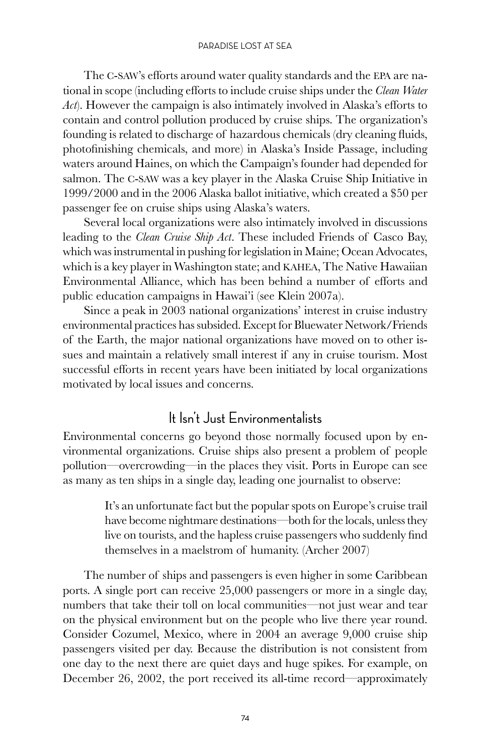#### Paradise Lost At Sea

The c-saw's efforts around water quality standards and the epa are national in scope (including efforts to include cruise ships under the *Clean Water Act*). However the campaign is also intimately involved in Alaska's efforts to contain and control pollution produced by cruise ships. The organization's founding is related to discharge of hazardous chemicals (dry cleaning fluids, photofinishing chemicals, and more) in Alaska's Inside Passage, including waters around Haines, on which the Campaign's founder had depended for salmon. The c-saw was a key player in the Alaska Cruise Ship Initiative in 1999/2000 and in the 2006 Alaska ballot initiative, which created a \$50 per passenger fee on cruise ships using Alaska's waters.

Several local organizations were also intimately involved in discussions leading to the *Clean Cruise Ship Act*. These included Friends of Casco Bay, which was instrumental in pushing for legislation in Maine; Ocean Advocates, which is a key player in Washington state; and kahea, The Native Hawaiian Environmental Alliance, which has been behind a number of efforts and public education campaigns in Hawai'i (see Klein 2007a).

Since a peak in 2003 national organizations' interest in cruise industry environmental practices has subsided. Except for Bluewater Network/Friends of the Earth, the major national organizations have moved on to other issues and maintain a relatively small interest if any in cruise tourism. Most successful efforts in recent years have been initiated by local organizations motivated by local issues and concerns.

### It Isn't Just Environmentalists

Environmental concerns go beyond those normally focused upon by environmental organizations. Cruise ships also present a problem of people pollution—overcrowding—in the places they visit. Ports in Europe can see as many as ten ships in a single day, leading one journalist to observe:

> It's an unfortunate fact but the popular spots on Europe's cruise trail have become nightmare destinations—both for the locals, unless they live on tourists, and the hapless cruise passengers who suddenly find themselves in a maelstrom of humanity. (Archer 2007)

The number of ships and passengers is even higher in some Caribbean ports. A single port can receive 25,000 passengers or more in a single day, numbers that take their toll on local communities—not just wear and tear on the physical environment but on the people who live there year round. Consider Cozumel, Mexico, where in 2004 an average 9,000 cruise ship passengers visited per day. Because the distribution is not consistent from one day to the next there are quiet days and huge spikes. For example, on December 26, 2002, the port received its all-time record—approximately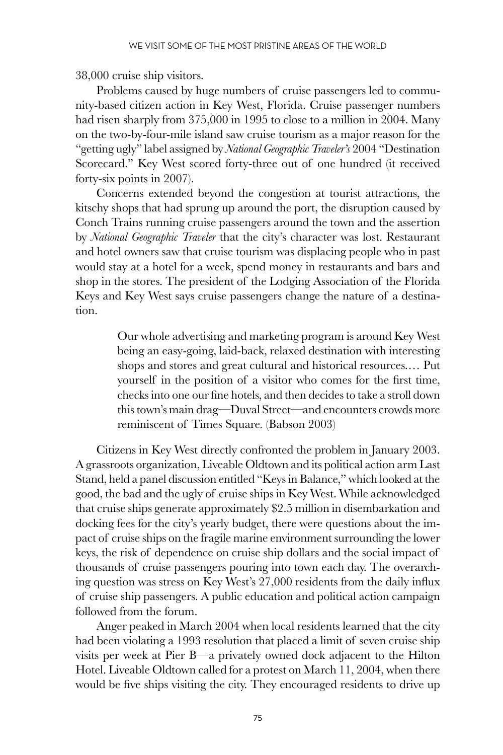38,000 cruise ship visitors.

Problems caused by huge numbers of cruise passengers led to community-based citizen action in Key West, Florida. Cruise passenger numbers had risen sharply from 375,000 in 1995 to close to a million in 2004. Many on the two-by-four-mile island saw cruise tourism as a major reason for the "getting ugly" label assigned by *National Geographic Traveler's* 2004 "Destination Scorecard." Key West scored forty-three out of one hundred (it received forty-six points in 2007).

Concerns extended beyond the congestion at tourist attractions, the kitschy shops that had sprung up around the port, the disruption caused by Conch Trains running cruise passengers around the town and the assertion by *National Geographic Traveler* that the city's character was lost. Restaurant and hotel owners saw that cruise tourism was displacing people who in past would stay at a hotel for a week, spend money in restaurants and bars and shop in the stores. The president of the Lodging Association of the Florida Keys and Key West says cruise passengers change the nature of a destination.

> Our whole advertising and marketing program is around Key West being an easy-going, laid-back, relaxed destination with interesting shops and stores and great cultural and historical resources.… Put yourself in the position of a visitor who comes for the first time, checks into one our fine hotels, and then decides to take a stroll down this town's main drag—Duval Street—and encounters crowds more reminiscent of Times Square. (Babson 2003)

Citizens in Key West directly confronted the problem in January 2003. A grassroots organization, Liveable Oldtown and its political action arm Last Stand, held a panel discussion entitled "Keys in Balance," which looked at the good, the bad and the ugly of cruise ships in Key West. While acknowledged that cruise ships generate approximately \$2.5 million in disembarkation and docking fees for the city's yearly budget, there were questions about the impact of cruise ships on the fragile marine environment surrounding the lower keys, the risk of dependence on cruise ship dollars and the social impact of thousands of cruise passengers pouring into town each day. The overarching question was stress on Key West's 27,000 residents from the daily influx of cruise ship passengers. A public education and political action campaign followed from the forum.

Anger peaked in March 2004 when local residents learned that the city had been violating a 1993 resolution that placed a limit of seven cruise ship visits per week at Pier B—a privately owned dock adjacent to the Hilton Hotel. Liveable Oldtown called for a protest on March 11, 2004, when there would be five ships visiting the city. They encouraged residents to drive up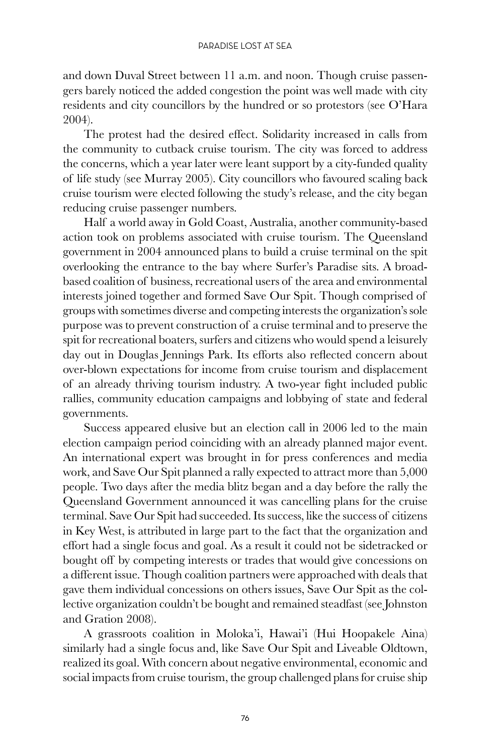and down Duval Street between 11 a.m. and noon. Though cruise passengers barely noticed the added congestion the point was well made with city residents and city councillors by the hundred or so protestors (see O'Hara 2004).

The protest had the desired effect. Solidarity increased in calls from the community to cutback cruise tourism. The city was forced to address the concerns, which a year later were leant support by a city-funded quality of life study (see Murray 2005). City councillors who favoured scaling back cruise tourism were elected following the study's release, and the city began reducing cruise passenger numbers.

Half a world away in Gold Coast, Australia, another community-based action took on problems associated with cruise tourism. The Queensland government in 2004 announced plans to build a cruise terminal on the spit overlooking the entrance to the bay where Surfer's Paradise sits. A broadbased coalition of business, recreational users of the area and environmental interests joined together and formed Save Our Spit. Though comprised of groups with sometimes diverse and competing interests the organization's sole purpose was to prevent construction of a cruise terminal and to preserve the spit for recreational boaters, surfers and citizens who would spend a leisurely day out in Douglas Jennings Park. Its efforts also reflected concern about over-blown expectations for income from cruise tourism and displacement of an already thriving tourism industry. A two-year fight included public rallies, community education campaigns and lobbying of state and federal governments.

Success appeared elusive but an election call in 2006 led to the main election campaign period coinciding with an already planned major event. An international expert was brought in for press conferences and media work, and Save Our Spit planned a rally expected to attract more than 5,000 people. Two days after the media blitz began and a day before the rally the Queensland Government announced it was cancelling plans for the cruise terminal. Save Our Spit had succeeded. Its success, like the success of citizens in Key West, is attributed in large part to the fact that the organization and effort had a single focus and goal. As a result it could not be sidetracked or bought off by competing interests or trades that would give concessions on a different issue. Though coalition partners were approached with deals that gave them individual concessions on others issues, Save Our Spit as the collective organization couldn't be bought and remained steadfast (see Johnston and Gration 2008).

A grassroots coalition in Moloka'i, Hawai'i (Hui Hoopakele Aina) similarly had a single focus and, like Save Our Spit and Liveable Oldtown, realized its goal. With concern about negative environmental, economic and social impacts from cruise tourism, the group challenged plans for cruise ship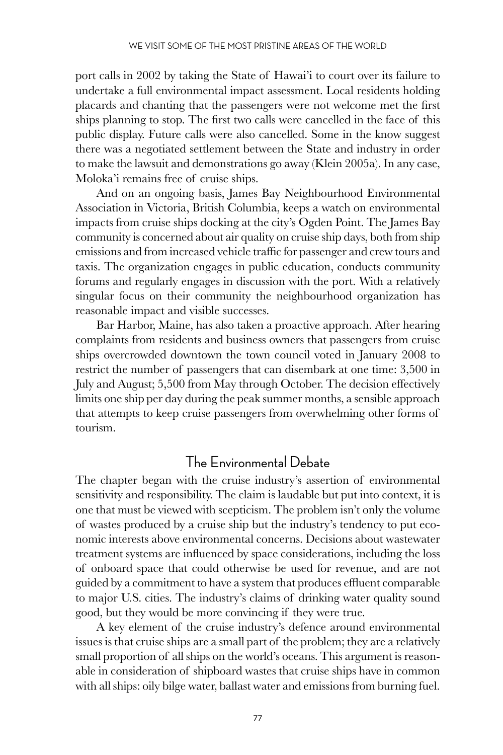port calls in 2002 by taking the State of Hawai'i to court over its failure to undertake a full environmental impact assessment. Local residents holding placards and chanting that the passengers were not welcome met the first ships planning to stop. The first two calls were cancelled in the face of this public display. Future calls were also cancelled. Some in the know suggest there was a negotiated settlement between the State and industry in order to make the lawsuit and demonstrations go away (Klein 2005a). In any case, Moloka'i remains free of cruise ships.

And on an ongoing basis, James Bay Neighbourhood Environmental Association in Victoria, British Columbia, keeps a watch on environmental impacts from cruise ships docking at the city's Ogden Point. The James Bay community is concerned about air quality on cruise ship days, both from ship emissions and from increased vehicle traffic for passenger and crew tours and taxis. The organization engages in public education, conducts community forums and regularly engages in discussion with the port. With a relatively singular focus on their community the neighbourhood organization has reasonable impact and visible successes.

Bar Harbor, Maine, has also taken a proactive approach. After hearing complaints from residents and business owners that passengers from cruise ships overcrowded downtown the town council voted in January 2008 to restrict the number of passengers that can disembark at one time: 3,500 in July and August; 5,500 from May through October. The decision effectively limits one ship per day during the peak summer months, a sensible approach that attempts to keep cruise passengers from overwhelming other forms of tourism.

#### The Environmental Debate

The chapter began with the cruise industry's assertion of environmental sensitivity and responsibility. The claim is laudable but put into context, it is one that must be viewed with scepticism. The problem isn't only the volume of wastes produced by a cruise ship but the industry's tendency to put economic interests above environmental concerns. Decisions about wastewater treatment systems are influenced by space considerations, including the loss of onboard space that could otherwise be used for revenue, and are not guided by a commitment to have a system that produces effluent comparable to major U.S. cities. The industry's claims of drinking water quality sound good, but they would be more convincing if they were true.

A key element of the cruise industry's defence around environmental issues is that cruise ships are a small part of the problem; they are a relatively small proportion of all ships on the world's oceans. This argument is reasonable in consideration of shipboard wastes that cruise ships have in common with all ships: oily bilge water, ballast water and emissions from burning fuel.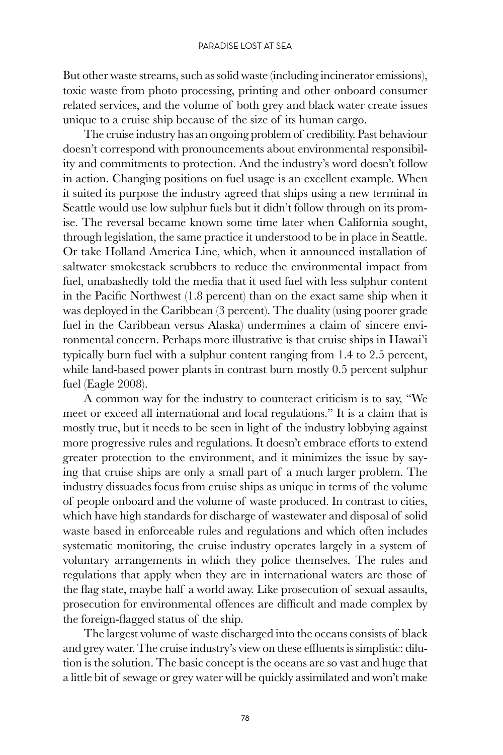But other waste streams, such as solid waste (including incinerator emissions), toxic waste from photo processing, printing and other onboard consumer related services, and the volume of both grey and black water create issues unique to a cruise ship because of the size of its human cargo.

The cruise industry has an ongoing problem of credibility. Past behaviour doesn't correspond with pronouncements about environmental responsibility and commitments to protection. And the industry's word doesn't follow in action. Changing positions on fuel usage is an excellent example. When it suited its purpose the industry agreed that ships using a new terminal in Seattle would use low sulphur fuels but it didn't follow through on its promise. The reversal became known some time later when California sought, through legislation, the same practice it understood to be in place in Seattle. Or take Holland America Line, which, when it announced installation of saltwater smokestack scrubbers to reduce the environmental impact from fuel, unabashedly told the media that it used fuel with less sulphur content in the Pacific Northwest (1.8 percent) than on the exact same ship when it was deployed in the Caribbean (3 percent). The duality (using poorer grade fuel in the Caribbean versus Alaska) undermines a claim of sincere environmental concern. Perhaps more illustrative is that cruise ships in Hawai'i typically burn fuel with a sulphur content ranging from 1.4 to 2.5 percent, while land-based power plants in contrast burn mostly 0.5 percent sulphur fuel (Eagle 2008).

A common way for the industry to counteract criticism is to say, "We meet or exceed all international and local regulations." It is a claim that is mostly true, but it needs to be seen in light of the industry lobbying against more progressive rules and regulations. It doesn't embrace efforts to extend greater protection to the environment, and it minimizes the issue by saying that cruise ships are only a small part of a much larger problem. The industry dissuades focus from cruise ships as unique in terms of the volume of people onboard and the volume of waste produced. In contrast to cities, which have high standards for discharge of wastewater and disposal of solid waste based in enforceable rules and regulations and which often includes systematic monitoring, the cruise industry operates largely in a system of voluntary arrangements in which they police themselves. The rules and regulations that apply when they are in international waters are those of the flag state, maybe half a world away. Like prosecution of sexual assaults, prosecution for environmental offences are difficult and made complex by the foreign-flagged status of the ship.

The largest volume of waste discharged into the oceans consists of black and grey water. The cruise industry's view on these effluents is simplistic: dilution is the solution. The basic concept is the oceans are so vast and huge that a little bit of sewage or grey water will be quickly assimilated and won't make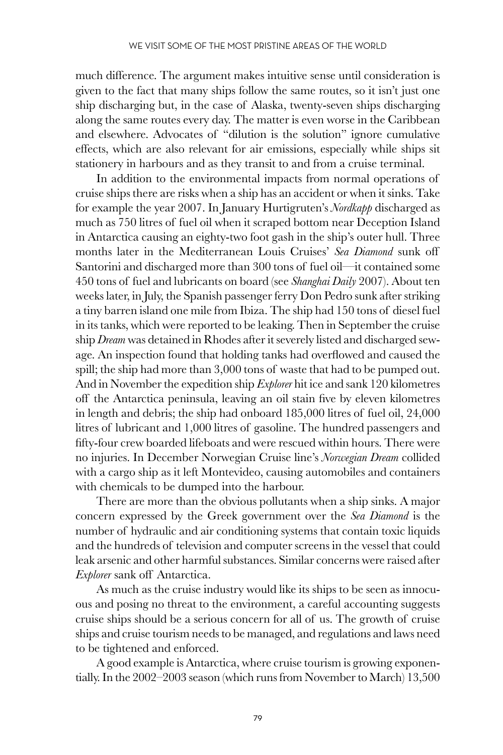much difference. The argument makes intuitive sense until consideration is given to the fact that many ships follow the same routes, so it isn't just one ship discharging but, in the case of Alaska, twenty-seven ships discharging along the same routes every day. The matter is even worse in the Caribbean and elsewhere. Advocates of "dilution is the solution" ignore cumulative effects, which are also relevant for air emissions, especially while ships sit stationery in harbours and as they transit to and from a cruise terminal.

In addition to the environmental impacts from normal operations of cruise ships there are risks when a ship has an accident or when it sinks. Take for example the year 2007. In January Hurtigruten's *Nordkapp* discharged as much as 750 litres of fuel oil when it scraped bottom near Deception Island in Antarctica causing an eighty-two foot gash in the ship's outer hull. Three months later in the Mediterranean Louis Cruises' *Sea Diamond* sunk off Santorini and discharged more than 300 tons of fuel oil—it contained some 450 tons of fuel and lubricants on board (see *Shanghai Daily* 2007). About ten weeks later, in July, the Spanish passenger ferry Don Pedro sunk after striking a tiny barren island one mile from Ibiza. The ship had 150 tons of diesel fuel in its tanks, which were reported to be leaking. Then in September the cruise ship *Dream* was detained in Rhodes after it severely listed and discharged sewage. An inspection found that holding tanks had overflowed and caused the spill; the ship had more than 3,000 tons of waste that had to be pumped out. And in November the expedition ship *Explorer* hit ice and sank 120 kilometres off the Antarctica peninsula, leaving an oil stain five by eleven kilometres in length and debris; the ship had onboard 185,000 litres of fuel oil, 24,000 litres of lubricant and 1,000 litres of gasoline. The hundred passengers and fifty-four crew boarded lifeboats and were rescued within hours. There were no injuries. In December Norwegian Cruise line's *Norwegian Dream* collided with a cargo ship as it left Montevideo, causing automobiles and containers with chemicals to be dumped into the harbour.

There are more than the obvious pollutants when a ship sinks. A major concern expressed by the Greek government over the *Sea Diamond* is the number of hydraulic and air conditioning systems that contain toxic liquids and the hundreds of television and computer screens in the vessel that could leak arsenic and other harmful substances. Similar concerns were raised after *Explorer* sank off Antarctica.

As much as the cruise industry would like its ships to be seen as innocuous and posing no threat to the environment, a careful accounting suggests cruise ships should be a serious concern for all of us. The growth of cruise ships and cruise tourism needs to be managed, and regulations and laws need to be tightened and enforced.

A good example is Antarctica, where cruise tourism is growing exponentially. In the 2002–2003 season (which runs from November to March) 13,500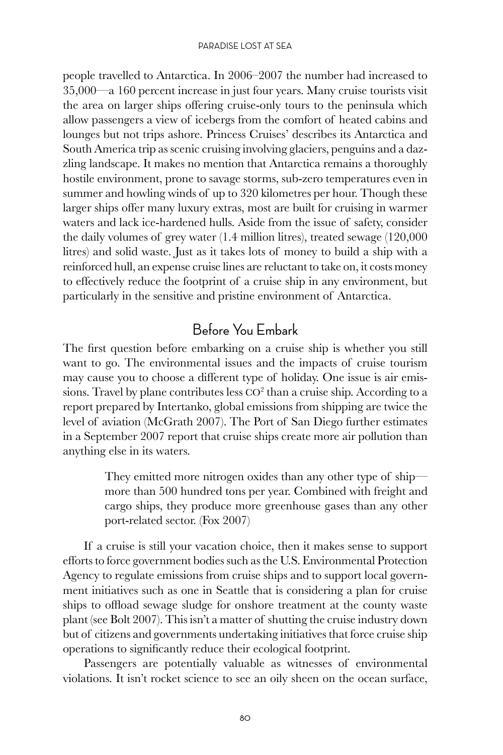people travelled to Antarctica. In 2006–2007 the number had increased to 35,000—a 160 percent increase in just four years. Many cruise tourists visit the area on larger ships offering cruise-only tours to the peninsula which allow passengers a view of icebergs from the comfort of heated cabins and lounges but not trips ashore. Princess Cruises' describes its Antarctica and South America trip as scenic cruising involving glaciers, penguins and a dazzling landscape. It makes no mention that Antarctica remains a thoroughly hostile environment, prone to savage storms, sub-zero temperatures even in summer and howling winds of up to 320 kilometres per hour. Though these larger ships offer many luxury extras, most are built for cruising in warmer waters and lack ice-hardened hulls. Aside from the issue of safety, consider the daily volumes of grey water (1.4 million litres), treated sewage (120,000 litres) and solid waste. Just as it takes lots of money to build a ship with a reinforced hull, an expense cruise lines are reluctant to take on, it costs money to effectively reduce the footprint of a cruise ship in any environment, but particularly in the sensitive and pristine environment of Antarctica.

# Before You Embark

The first question before embarking on a cruise ship is whether you still want to go. The environmental issues and the impacts of cruise tourism may cause you to choose a different type of holiday. One issue is air emissions. Travel by plane contributes less CO<sup>2</sup> than a cruise ship. According to a report prepared by Intertanko, global emissions from shipping are twice the level of aviation (McGrath 2007). The Port of San Diego further estimates in a September 2007 report that cruise ships create more air pollution than anything else in its waters.

> They emitted more nitrogen oxides than any other type of ship more than 500 hundred tons per year. Combined with freight and cargo ships, they produce more greenhouse gases than any other port-related sector. (Fox 2007)

If a cruise is still your vacation choice, then it makes sense to support efforts to force government bodies such as the U.S. Environmental Protection Agency to regulate emissions from cruise ships and to support local government initiatives such as one in Seattle that is considering a plan for cruise ships to offload sewage sludge for onshore treatment at the county waste plant (see Bolt 2007). This isn't a matter of shutting the cruise industry down but of citizens and governments undertaking initiatives that force cruise ship operations to significantly reduce their ecological footprint.

Passengers are potentially valuable as witnesses of environmental violations. It isn't rocket science to see an oily sheen on the ocean surface,